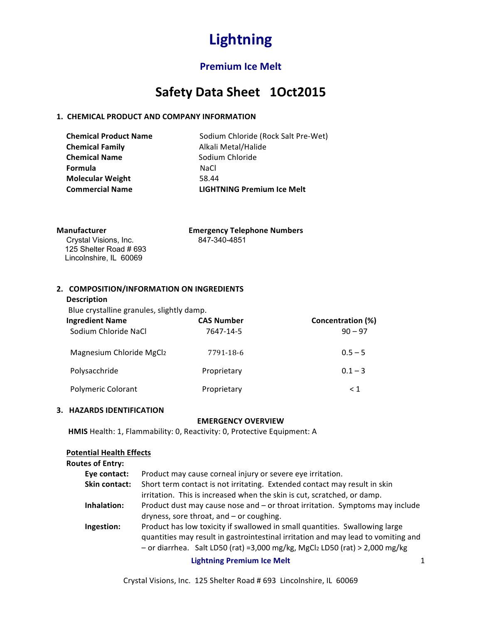# **Premium Ice Melt**

# Safety Data Sheet 1Oct2015

### **1. CHEMICAL PRODUCT AND COMPANY INFORMATION**

**Chemical Family Alkali Metal/Halide Chemical Name** Sodium Chloride **Formula** NaCl **Molecular Weight** 58.44

**Chemical Product Name** Sodium Chloride (Rock Salt Pre-Wet)  **Commercial Name LIGHTNING Premium Ice Melt**

**Crystal Visions, Inc.**  125 Shelter Road # 693 Lincolnshire, IL 60069

**Manufacturer Cross Emergency Telephone Numbers**<br>
Crostal Visions. Inc. 847-340-4851

### 2. COMPOSITION/INFORMATION ON INGREDIENTS

### **Description**

Blue crystalline granules, slightly damp.

| <b>Ingredient Name</b><br>Sodium Chloride NaCl | <b>CAS Number</b><br>7647-14-5 | Concentration (%)<br>$90 - 97$ |
|------------------------------------------------|--------------------------------|--------------------------------|
| Magnesium Chloride MgCl2                       | 7791-18-6                      | $0.5 - 5$                      |
| Polysacchride                                  | Proprietary                    | $0.1 - 3$                      |
| Polymeric Colorant                             | Proprietary                    | $\leq 1$                       |

#### **3. HAZARDS IDENTIFICATION**

#### **EMERGENCY OVERVIEW**

**HMIS** Health: 1, Flammability: 0, Reactivity: 0, Protective Equipment: A

### **Potential Health Effects**

| <b>Routes of Entry:</b> |                                                                                                                                                                                                                                                 |  |
|-------------------------|-------------------------------------------------------------------------------------------------------------------------------------------------------------------------------------------------------------------------------------------------|--|
| Eye contact:            | Product may cause corneal injury or severe eye irritation.                                                                                                                                                                                      |  |
| Skin contact:           | Short term contact is not irritating. Extended contact may result in skin                                                                                                                                                                       |  |
|                         | irritation. This is increased when the skin is cut, scratched, or damp.                                                                                                                                                                         |  |
| Inhalation:             | Product dust may cause nose and - or throat irritation. Symptoms may include                                                                                                                                                                    |  |
|                         | dryness, sore throat, and - or coughing.                                                                                                                                                                                                        |  |
| Ingestion:              | Product has low toxicity if swallowed in small quantities. Swallowing large<br>quantities may result in gastrointestinal irritation and may lead to vomiting and<br>- or diarrhea. Salt LD50 (rat) =3,000 mg/kg, MgCl2 LD50 (rat) > 2,000 mg/kg |  |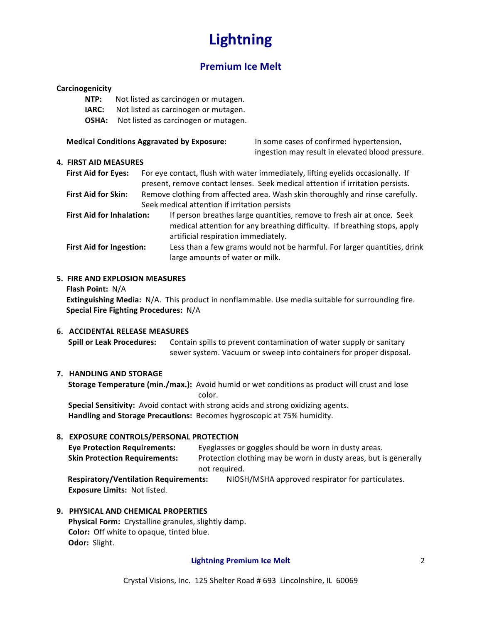# **Premium Ice Melt**

#### **Carcinogenicity**

- **NTP:** Not listed as carcinogen or mutagen.
- **IARC:** Not listed as carcinogen or mutagen.
- **OSHA:** Not listed as carcinogen or mutagen.

#### **Medical Conditions Aggravated by Exposure:** In some cases of confirmed hypertension,

#### **4. FIRST AID MEASURES**

First Aid for Eyes: For eye contact, flush with water immediately, lifting eyelids occasionally. If present, remove contact lenses. Seek medical attention if irritation persists. First Aid for Skin: Remove clothing from affected area. Wash skin thoroughly and rinse carefully. Seek medical attention if irritation persists **First Aid for Inhalation:** If person breathes large quantities, remove to fresh air at once. Seek

ingestion may result in elevated blood pressure.

- medical attention for any breathing difficulty. If breathing stops, apply artificial respiration immediately. **First Aid for Ingestion:** Less than a few grams would not be harmful. For larger quantities, drink
- large amounts of water or milk.

#### **5. FIRE AND EXPLOSION MEASURES**

**Flash Point: N/A** 

**Extinguishing Media:** N/A. This product in nonflammable. Use media suitable for surrounding fire. **Special Fire Fighting Procedures: N/A** 

#### **6. ACCIDENTAL RELEASE MEASURES**

**Spill or Leak Procedures:** Contain spills to prevent contamination of water supply or sanitary sewer system. Vacuum or sweep into containers for proper disposal.

#### **7. HANDLING AND STORAGE**

**Storage Temperature (min./max.):** Avoid humid or wet conditions as product will crust and lose color.

**Special Sensitivity:** Avoid contact with strong acids and strong oxidizing agents. Handling and Storage Precautions: Becomes hygroscopic at 75% humidity.

#### **8. EXPOSURE CONTROLS/PERSONAL PROTECTION**

| <b>Eye Protection Requirements:</b>          | Eyeglasses or goggles should be worn in dusty areas.             |  |
|----------------------------------------------|------------------------------------------------------------------|--|
| <b>Skin Protection Requirements:</b>         | Protection clothing may be worn in dusty areas, but is generally |  |
| not required.                                |                                                                  |  |
| <b>Pospiratory/Vontilation Poquiromonts:</b> | NIOSH/MSHA approved respirator for particulates                  |  |

**Respiratory/Ventilation Requirements:** NIOSH/MSHA approved respirator for particulates. **Exposure Limits: Not listed.** 

#### **9. PHYSICAL AND CHEMICAL PROPERTIES**

Physical Form: Crystalline granules, slightly damp. **Color:** Off white to opaque, tinted blue. **Odor: Slight.**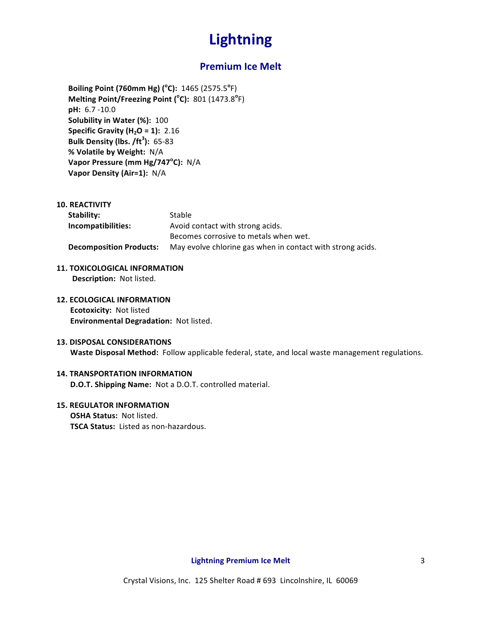### **Premium Ice Melt**

**Boiling Point (760mm Hg) (°C):** 1465 (2575.5°F) **Melting Point/Freezing Point (°C):** 801 (1473.8°F) **pH:** 6.7 -10.0 **Solubility in Water (%): 100 Specific Gravity (H<sub>2</sub>O = 1): 2.16 Bulk Density (lbs. /ft<sup>3</sup> ):** 65-83 **% Volatile by Weight:** N/A **Vapor Pressure (mm Hg/747<sup>°</sup>C):** N/A **Vapor Density (Air=1):** N/A

**10. REACTIVITY**

| Stability:                     | Stable                                                     |
|--------------------------------|------------------------------------------------------------|
| Incompatibilities:             | Avoid contact with strong acids.                           |
|                                | Becomes corrosive to metals when wet.                      |
| <b>Decomposition Products:</b> | May evolve chlorine gas when in contact with strong acids. |

- **11. TOXICOLOGICAL INFORMATION Description:** Not listed.
- **12. ECOLOGICAL INFORMATION Ecotoxicity: Not listed Environmental Degradation: Not listed.**

#### **13. DISPOSAL CONSIDERATIONS**

**Waste Disposal Method:** Follow applicable federal, state, and local waste management regulations.

### **14. TRANSPORTATION INFORMATION**

**D.O.T. Shipping Name:** Not a D.O.T. controlled material.

#### **15. REGULATOR INFORMATION**

**OSHA Status: Not listed. TSCA Status:** Listed as non-hazardous.